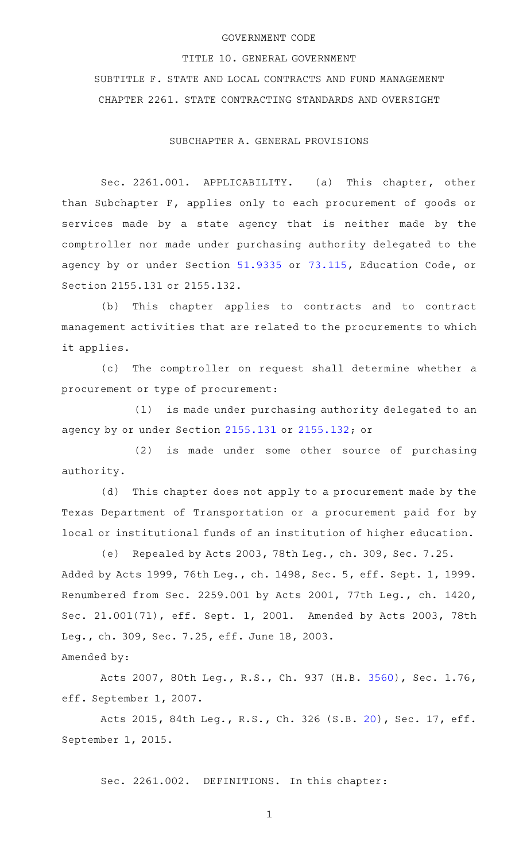### GOVERNMENT CODE

#### TITLE 10. GENERAL GOVERNMENT

SUBTITLE F. STATE AND LOCAL CONTRACTS AND FUND MANAGEMENT CHAPTER 2261. STATE CONTRACTING STANDARDS AND OVERSIGHT

SUBCHAPTER A. GENERAL PROVISIONS

Sec. 2261.001. APPLICABILITY. (a) This chapter, other than Subchapter F, applies only to each procurement of goods or services made by a state agency that is neither made by the comptroller nor made under purchasing authority delegated to the agency by or under Section [51.9335](http://www.statutes.legis.state.tx.us/GetStatute.aspx?Code=ED&Value=51.9335) or [73.115](http://www.statutes.legis.state.tx.us/GetStatute.aspx?Code=ED&Value=73.115), Education Code, or Section 2155.131 or 2155.132.

(b) This chapter applies to contracts and to contract management activities that are related to the procurements to which it applies.

(c) The comptroller on request shall determine whether a procurement or type of procurement:

(1) is made under purchasing authority delegated to an agency by or under Section [2155.131](http://www.statutes.legis.state.tx.us/GetStatute.aspx?Code=GV&Value=2155.131) or [2155.132](http://www.statutes.legis.state.tx.us/GetStatute.aspx?Code=GV&Value=2155.132); or

(2) is made under some other source of purchasing authority.

(d) This chapter does not apply to a procurement made by the Texas Department of Transportation or a procurement paid for by local or institutional funds of an institution of higher education.

(e) Repealed by Acts 2003, 78th Leg., ch. 309, Sec. 7.25. Added by Acts 1999, 76th Leg., ch. 1498, Sec. 5, eff. Sept. 1, 1999. Renumbered from Sec. 2259.001 by Acts 2001, 77th Leg., ch. 1420, Sec. 21.001(71), eff. Sept. 1, 2001. Amended by Acts 2003, 78th Leg., ch. 309, Sec. 7.25, eff. June 18, 2003.

Amended by:

Acts 2007, 80th Leg., R.S., Ch. 937 (H.B. [3560\)](http://www.legis.state.tx.us/tlodocs/80R/billtext/html/HB03560F.HTM), Sec. 1.76, eff. September 1, 2007.

Acts 2015, 84th Leg., R.S., Ch. 326 (S.B. [20\)](http://www.legis.state.tx.us/tlodocs/84R/billtext/html/SB00020F.HTM), Sec. 17, eff. September 1, 2015.

Sec. 2261.002. DEFINITIONS. In this chapter: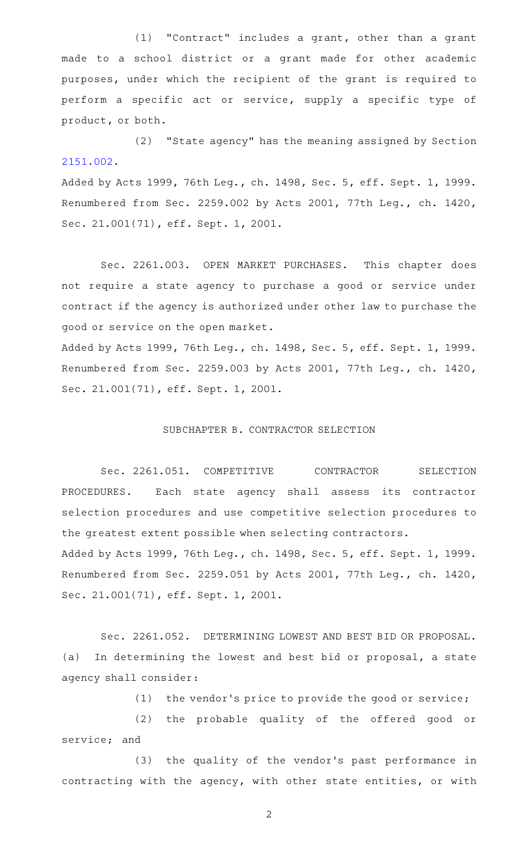(1) "Contract" includes a grant, other than a grant made to a school district or a grant made for other academic purposes, under which the recipient of the grant is required to perform a specific act or service, supply a specific type of product, or both.

(2) "State agency" has the meaning assigned by Section [2151.002](http://www.statutes.legis.state.tx.us/GetStatute.aspx?Code=GV&Value=2151.002).

Added by Acts 1999, 76th Leg., ch. 1498, Sec. 5, eff. Sept. 1, 1999. Renumbered from Sec. 2259.002 by Acts 2001, 77th Leg., ch. 1420, Sec. 21.001(71), eff. Sept. 1, 2001.

Sec. 2261.003. OPEN MARKET PURCHASES. This chapter does not require a state agency to purchase a good or service under contract if the agency is authorized under other law to purchase the good or service on the open market.

Added by Acts 1999, 76th Leg., ch. 1498, Sec. 5, eff. Sept. 1, 1999. Renumbered from Sec. 2259.003 by Acts 2001, 77th Leg., ch. 1420, Sec. 21.001(71), eff. Sept. 1, 2001.

#### SUBCHAPTER B. CONTRACTOR SELECTION

Sec. 2261.051. COMPETITIVE CONTRACTOR SELECTION PROCEDURES. Each state agency shall assess its contractor selection procedures and use competitive selection procedures to the greatest extent possible when selecting contractors. Added by Acts 1999, 76th Leg., ch. 1498, Sec. 5, eff. Sept. 1, 1999.

Renumbered from Sec. 2259.051 by Acts 2001, 77th Leg., ch. 1420, Sec. 21.001(71), eff. Sept. 1, 2001.

Sec. 2261.052. DETERMINING LOWEST AND BEST BID OR PROPOSAL. (a) In determining the lowest and best bid or proposal, a state agency shall consider:

(1) the vendor's price to provide the good or service;

(2) the probable quality of the offered good or service; and

(3) the quality of the vendor's past performance in contracting with the agency, with other state entities, or with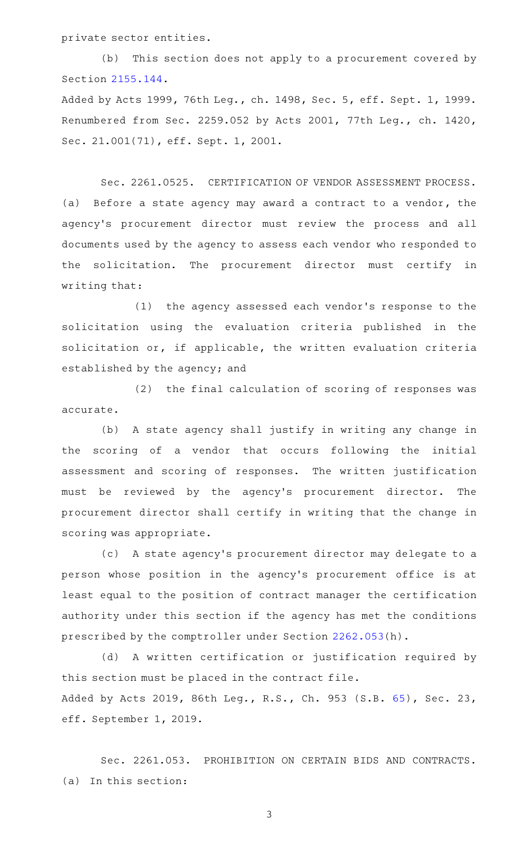private sector entities.

(b) This section does not apply to a procurement covered by Section [2155.144](http://www.statutes.legis.state.tx.us/GetStatute.aspx?Code=GV&Value=2155.144). Added by Acts 1999, 76th Leg., ch. 1498, Sec. 5, eff. Sept. 1, 1999.

Renumbered from Sec. 2259.052 by Acts 2001, 77th Leg., ch. 1420, Sec. 21.001(71), eff. Sept. 1, 2001.

Sec. 2261.0525. CERTIFICATION OF VENDOR ASSESSMENT PROCESS. (a) Before a state agency may award a contract to a vendor, the agency 's procurement director must review the process and all documents used by the agency to assess each vendor who responded to the solicitation. The procurement director must certify in writing that:

(1) the agency assessed each vendor's response to the solicitation using the evaluation criteria published in the solicitation or, if applicable, the written evaluation criteria established by the agency; and

(2) the final calculation of scoring of responses was accurate.

(b) A state agency shall justify in writing any change in the scoring of a vendor that occurs following the initial assessment and scoring of responses. The written justification must be reviewed by the agency's procurement director. The procurement director shall certify in writing that the change in scoring was appropriate.

(c)AAA state agency 's procurement director may delegate to a person whose position in the agency 's procurement office is at least equal to the position of contract manager the certification authority under this section if the agency has met the conditions prescribed by the comptroller under Section [2262.053](http://www.statutes.legis.state.tx.us/GetStatute.aspx?Code=GV&Value=2262.053)(h).

(d)AAA written certification or justification required by this section must be placed in the contract file. Added by Acts 2019, 86th Leg., R.S., Ch. 953 (S.B. [65](http://www.legis.state.tx.us/tlodocs/86R/billtext/html/SB00065F.HTM)), Sec. 23, eff. September 1, 2019.

Sec. 2261.053. PROHIBITION ON CERTAIN BIDS AND CONTRACTS. (a) In this section: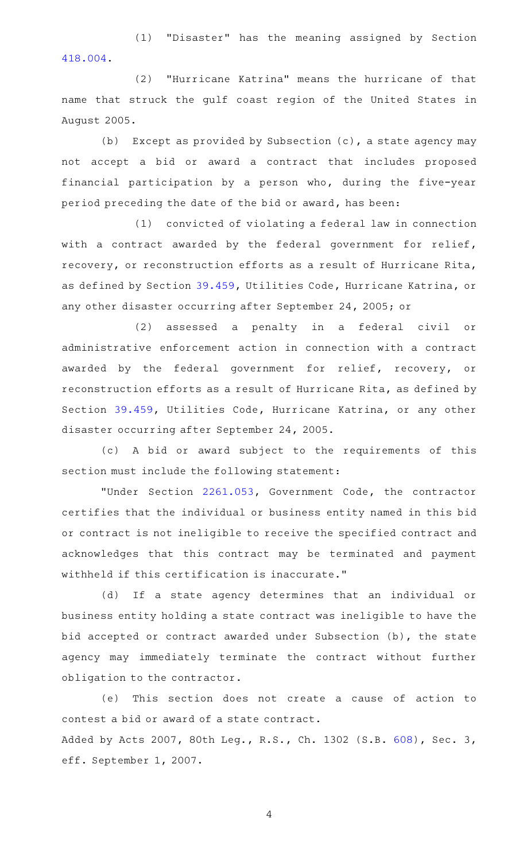(1) "Disaster" has the meaning assigned by Section [418.004.](http://www.statutes.legis.state.tx.us/GetStatute.aspx?Code=GV&Value=418.004)

(2) "Hurricane Katrina" means the hurricane of that name that struck the gulf coast region of the United States in August 2005.

(b) Except as provided by Subsection  $(c)$ , a state agency may not accept a bid or award a contract that includes proposed financial participation by a person who, during the five-year period preceding the date of the bid or award, has been:

(1) convicted of violating a federal law in connection with a contract awarded by the federal government for relief, recovery, or reconstruction efforts as a result of Hurricane Rita, as defined by Section [39.459,](http://www.statutes.legis.state.tx.us/GetStatute.aspx?Code=UT&Value=39.459) Utilities Code, Hurricane Katrina, or any other disaster occurring after September 24, 2005; or

(2) assessed a penalty in a federal civil or administrative enforcement action in connection with a contract awarded by the federal government for relief, recovery, or reconstruction efforts as a result of Hurricane Rita, as defined by Section [39.459,](http://www.statutes.legis.state.tx.us/GetStatute.aspx?Code=UT&Value=39.459) Utilities Code, Hurricane Katrina, or any other disaster occurring after September 24, 2005.

(c)AAA bid or award subject to the requirements of this section must include the following statement:

"Under Section [2261.053](http://www.statutes.legis.state.tx.us/GetStatute.aspx?Code=GV&Value=2261.053), Government Code, the contractor certifies that the individual or business entity named in this bid or contract is not ineligible to receive the specified contract and acknowledges that this contract may be terminated and payment withheld if this certification is inaccurate."

(d) If a state agency determines that an individual or business entity holding a state contract was ineligible to have the bid accepted or contract awarded under Subsection (b), the state agency may immediately terminate the contract without further obligation to the contractor.

(e) This section does not create a cause of action to contest a bid or award of a state contract. Added by Acts 2007, 80th Leg., R.S., Ch. 1302 (S.B. [608](http://www.legis.state.tx.us/tlodocs/80R/billtext/html/SB00608F.HTM)), Sec. 3, eff. September 1, 2007.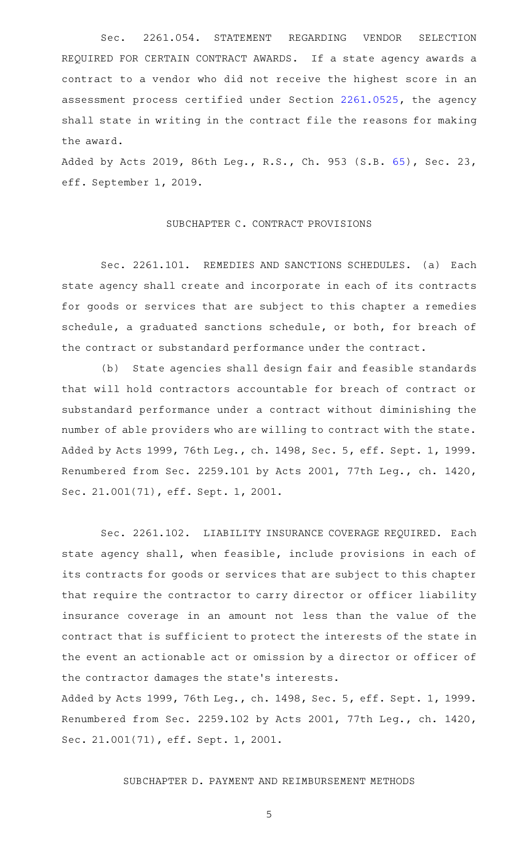Sec. 2261.054. STATEMENT REGARDING VENDOR SELECTION REQUIRED FOR CERTAIN CONTRACT AWARDS. If a state agency awards a contract to a vendor who did not receive the highest score in an assessment process certified under Section [2261.0525,](http://www.statutes.legis.state.tx.us/GetStatute.aspx?Code=GV&Value=2261.0525) the agency shall state in writing in the contract file the reasons for making the award.

Added by Acts 2019, 86th Leg., R.S., Ch. 953 (S.B. [65](http://www.legis.state.tx.us/tlodocs/86R/billtext/html/SB00065F.HTM)), Sec. 23, eff. September 1, 2019.

#### SUBCHAPTER C. CONTRACT PROVISIONS

Sec. 2261.101. REMEDIES AND SANCTIONS SCHEDULES. (a) Each state agency shall create and incorporate in each of its contracts for goods or services that are subject to this chapter a remedies schedule, a graduated sanctions schedule, or both, for breach of the contract or substandard performance under the contract.

(b) State agencies shall design fair and feasible standards that will hold contractors accountable for breach of contract or substandard performance under a contract without diminishing the number of able providers who are willing to contract with the state. Added by Acts 1999, 76th Leg., ch. 1498, Sec. 5, eff. Sept. 1, 1999. Renumbered from Sec. 2259.101 by Acts 2001, 77th Leg., ch. 1420, Sec. 21.001(71), eff. Sept. 1, 2001.

Sec. 2261.102. LIABILITY INSURANCE COVERAGE REQUIRED. Each state agency shall, when feasible, include provisions in each of its contracts for goods or services that are subject to this chapter that require the contractor to carry director or officer liability insurance coverage in an amount not less than the value of the contract that is sufficient to protect the interests of the state in the event an actionable act or omission by a director or officer of the contractor damages the state 's interests.

Added by Acts 1999, 76th Leg., ch. 1498, Sec. 5, eff. Sept. 1, 1999. Renumbered from Sec. 2259.102 by Acts 2001, 77th Leg., ch. 1420, Sec. 21.001(71), eff. Sept. 1, 2001.

### SUBCHAPTER D. PAYMENT AND REIMBURSEMENT METHODS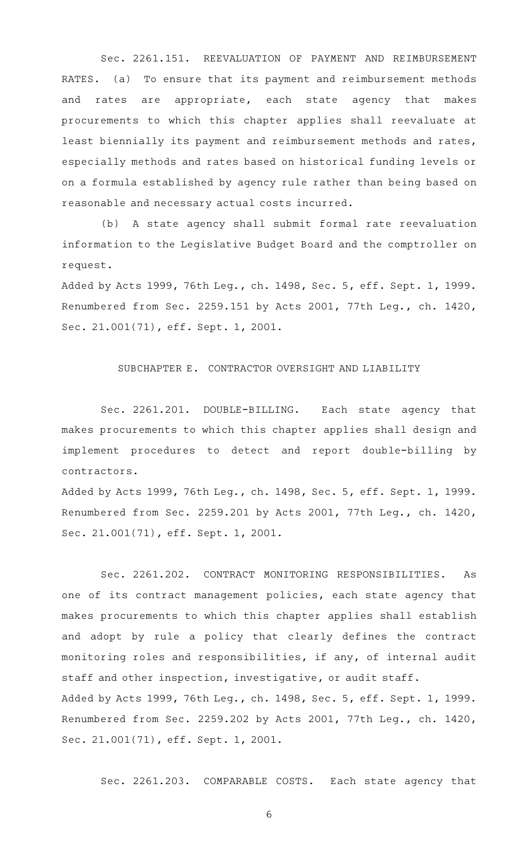Sec. 2261.151. REEVALUATION OF PAYMENT AND REIMBURSEMENT RATES. (a) To ensure that its payment and reimbursement methods and rates are appropriate, each state agency that makes procurements to which this chapter applies shall reevaluate at least biennially its payment and reimbursement methods and rates, especially methods and rates based on historical funding levels or on a formula established by agency rule rather than being based on reasonable and necessary actual costs incurred.

(b) A state agency shall submit formal rate reevaluation information to the Legislative Budget Board and the comptroller on request.

Added by Acts 1999, 76th Leg., ch. 1498, Sec. 5, eff. Sept. 1, 1999. Renumbered from Sec. 2259.151 by Acts 2001, 77th Leg., ch. 1420, Sec. 21.001(71), eff. Sept. 1, 2001.

## SUBCHAPTER E. CONTRACTOR OVERSIGHT AND LIABILITY

Sec. 2261.201. DOUBLE-BILLING. Each state agency that makes procurements to which this chapter applies shall design and implement procedures to detect and report double-billing by contractors.

Added by Acts 1999, 76th Leg., ch. 1498, Sec. 5, eff. Sept. 1, 1999. Renumbered from Sec. 2259.201 by Acts 2001, 77th Leg., ch. 1420, Sec. 21.001(71), eff. Sept. 1, 2001.

Sec. 2261.202. CONTRACT MONITORING RESPONSIBILITIES. As one of its contract management policies, each state agency that makes procurements to which this chapter applies shall establish and adopt by rule a policy that clearly defines the contract monitoring roles and responsibilities, if any, of internal audit staff and other inspection, investigative, or audit staff. Added by Acts 1999, 76th Leg., ch. 1498, Sec. 5, eff. Sept. 1, 1999. Renumbered from Sec. 2259.202 by Acts 2001, 77th Leg., ch. 1420, Sec. 21.001(71), eff. Sept. 1, 2001.

Sec. 2261.203. COMPARABLE COSTS. Each state agency that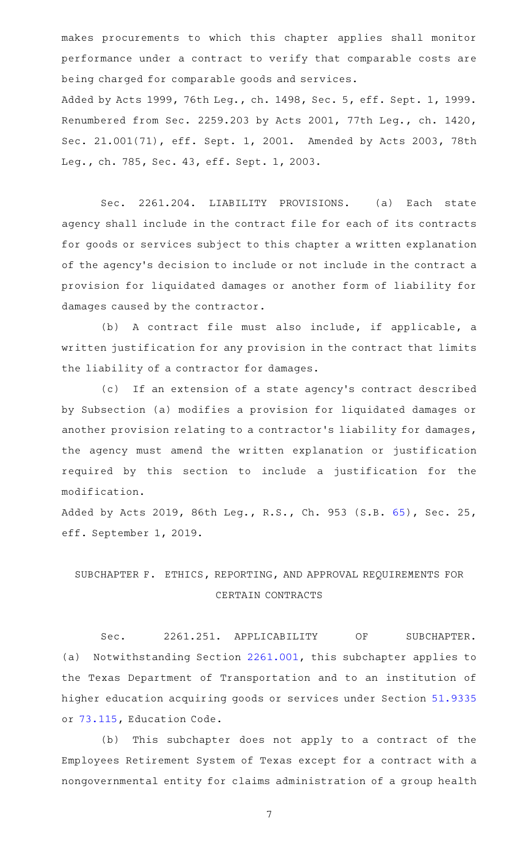makes procurements to which this chapter applies shall monitor performance under a contract to verify that comparable costs are being charged for comparable goods and services.

Added by Acts 1999, 76th Leg., ch. 1498, Sec. 5, eff. Sept. 1, 1999. Renumbered from Sec. 2259.203 by Acts 2001, 77th Leg., ch. 1420, Sec. 21.001(71), eff. Sept. 1, 2001. Amended by Acts 2003, 78th Leg., ch. 785, Sec. 43, eff. Sept. 1, 2003.

Sec. 2261.204. LIABILITY PROVISIONS. (a) Each state agency shall include in the contract file for each of its contracts for goods or services subject to this chapter a written explanation of the agency 's decision to include or not include in the contract a provision for liquidated damages or another form of liability for damages caused by the contractor.

(b) A contract file must also include, if applicable, a written justification for any provision in the contract that limits the liability of a contractor for damages.

(c) If an extension of a state agency's contract described by Subsection (a) modifies a provision for liquidated damages or another provision relating to a contractor 's liability for damages, the agency must amend the written explanation or justification required by this section to include a justification for the modification.

Added by Acts 2019, 86th Leg., R.S., Ch. 953 (S.B. [65](http://www.legis.state.tx.us/tlodocs/86R/billtext/html/SB00065F.HTM)), Sec. 25, eff. September 1, 2019.

# SUBCHAPTER F. ETHICS, REPORTING, AND APPROVAL REQUIREMENTS FOR CERTAIN CONTRACTS

Sec. 2261.251. APPLICABILITY OF SUBCHAPTER. (a) Notwithstanding Section [2261.001,](http://www.statutes.legis.state.tx.us/GetStatute.aspx?Code=GV&Value=2261.001) this subchapter applies to the Texas Department of Transportation and to an institution of higher education acquiring goods or services under Section [51.9335](http://www.statutes.legis.state.tx.us/GetStatute.aspx?Code=ED&Value=51.9335) or [73.115](http://www.statutes.legis.state.tx.us/GetStatute.aspx?Code=ED&Value=73.115), Education Code.

(b) This subchapter does not apply to a contract of the Employees Retirement System of Texas except for a contract with a nongovernmental entity for claims administration of a group health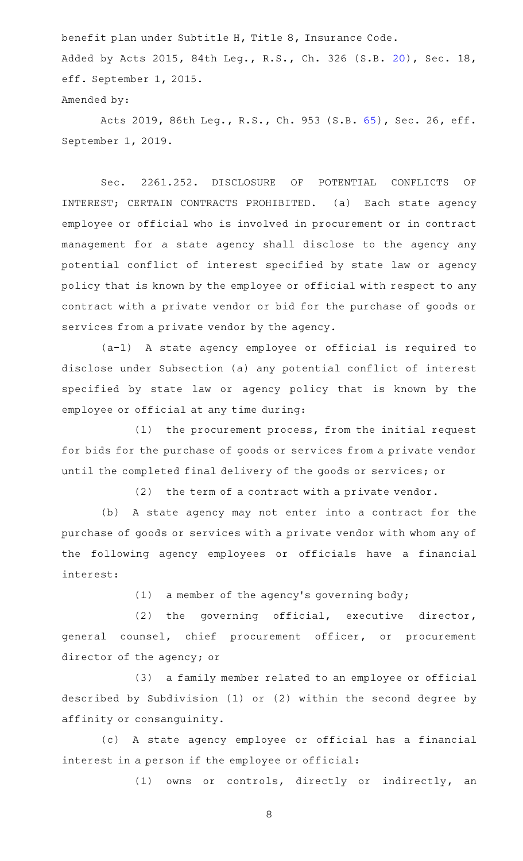benefit plan under Subtitle H, Title 8, Insurance Code. Added by Acts 2015, 84th Leg., R.S., Ch. 326 (S.B. [20](http://www.legis.state.tx.us/tlodocs/84R/billtext/html/SB00020F.HTM)), Sec. 18, eff. September 1, 2015. Amended by:

Acts 2019, 86th Leg., R.S., Ch. 953 (S.B. [65\)](http://www.legis.state.tx.us/tlodocs/86R/billtext/html/SB00065F.HTM), Sec. 26, eff. September 1, 2019.

Sec. 2261.252. DISCLOSURE OF POTENTIAL CONFLICTS OF INTEREST; CERTAIN CONTRACTS PROHIBITED. (a) Each state agency employee or official who is involved in procurement or in contract management for a state agency shall disclose to the agency any potential conflict of interest specified by state law or agency policy that is known by the employee or official with respect to any contract with a private vendor or bid for the purchase of goods or services from a private vendor by the agency.

(a-1)AAA state agency employee or official is required to disclose under Subsection (a) any potential conflict of interest specified by state law or agency policy that is known by the employee or official at any time during:

 $(1)$  the procurement process, from the initial request for bids for the purchase of goods or services from a private vendor until the completed final delivery of the goods or services; or

 $(2)$  the term of a contract with a private vendor.

(b) A state agency may not enter into a contract for the purchase of goods or services with a private vendor with whom any of the following agency employees or officials have a financial interest:

(1) a member of the agency's governing body;

 $(2)$  the governing official, executive director, general counsel, chief procurement officer, or procurement director of the agency; or

(3) a family member related to an employee or official described by Subdivision (1) or (2) within the second degree by affinity or consanguinity.

(c)AAA state agency employee or official has a financial interest in a person if the employee or official:

(1) owns or controls, directly or indirectly, an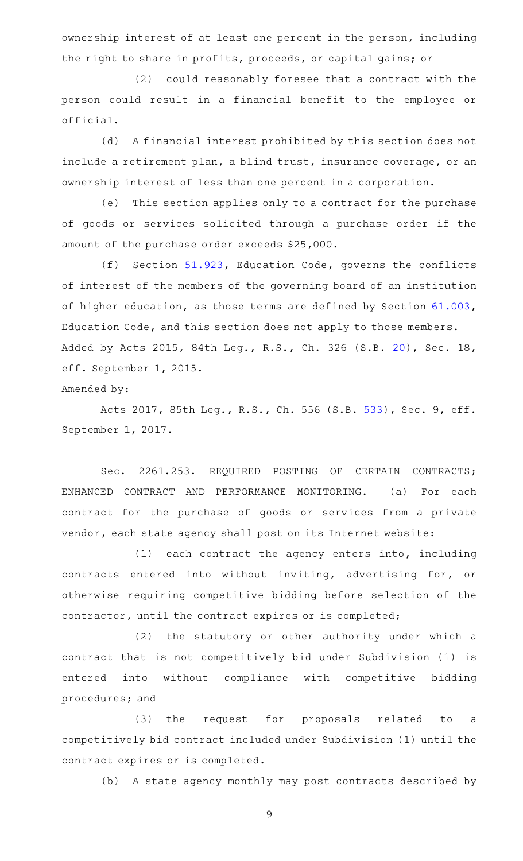ownership interest of at least one percent in the person, including the right to share in profits, proceeds, or capital gains; or

(2) could reasonably foresee that a contract with the person could result in a financial benefit to the employee or official.

(d) A financial interest prohibited by this section does not include a retirement plan, a blind trust, insurance coverage, or an ownership interest of less than one percent in a corporation.

(e) This section applies only to a contract for the purchase of goods or services solicited through a purchase order if the amount of the purchase order exceeds \$25,000.

(f) Section  $51.923$ , Education Code, governs the conflicts of interest of the members of the governing board of an institution of higher education, as those terms are defined by Section [61.003](http://www.statutes.legis.state.tx.us/GetStatute.aspx?Code=ED&Value=61.003), Education Code, and this section does not apply to those members. Added by Acts 2015, 84th Leg., R.S., Ch. 326 (S.B. [20](http://www.legis.state.tx.us/tlodocs/84R/billtext/html/SB00020F.HTM)), Sec. 18, eff. September 1, 2015.

Amended by:

Acts 2017, 85th Leg., R.S., Ch. 556 (S.B. [533](http://www.legis.state.tx.us/tlodocs/85R/billtext/html/SB00533F.HTM)), Sec. 9, eff. September 1, 2017.

Sec. 2261.253. REQUIRED POSTING OF CERTAIN CONTRACTS; ENHANCED CONTRACT AND PERFORMANCE MONITORING. (a) For each contract for the purchase of goods or services from a private vendor, each state agency shall post on its Internet website:

 $(1)$  each contract the agency enters into, including contracts entered into without inviting, advertising for, or otherwise requiring competitive bidding before selection of the contractor, until the contract expires or is completed;

(2) the statutory or other authority under which a contract that is not competitively bid under Subdivision (1) is entered into without compliance with competitive bidding procedures; and

(3) the request for proposals related to a competitively bid contract included under Subdivision (1) until the contract expires or is completed.

(b) A state agency monthly may post contracts described by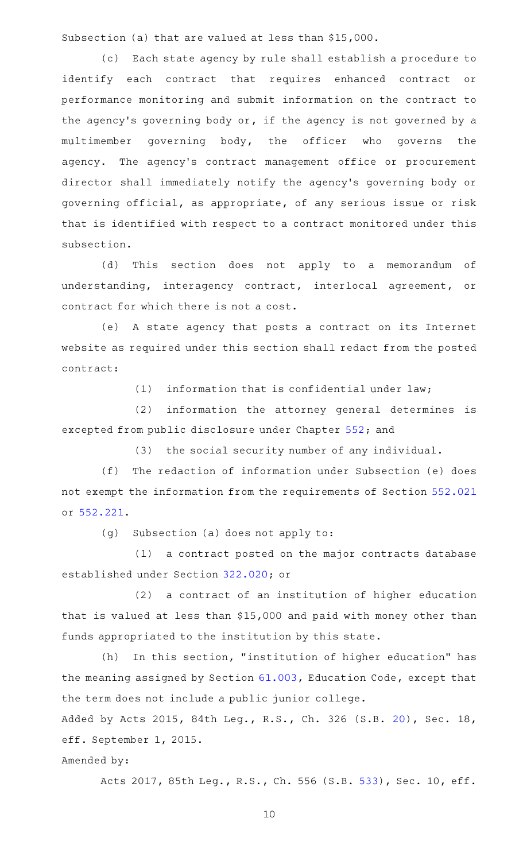Subsection (a) that are valued at less than \$15,000.

(c) Each state agency by rule shall establish a procedure to identify each contract that requires enhanced contract or performance monitoring and submit information on the contract to the agency's governing body or, if the agency is not governed by a multimember governing body, the officer who governs the agency. The agency's contract management office or procurement director shall immediately notify the agency 's governing body or governing official, as appropriate, of any serious issue or risk that is identified with respect to a contract monitored under this subsection.

(d) This section does not apply to a memorandum of understanding, interagency contract, interlocal agreement, or contract for which there is not a cost.

(e)AAA state agency that posts a contract on its Internet website as required under this section shall redact from the posted contract:

 $(1)$  information that is confidential under law;

(2) information the attorney general determines is excepted from public disclosure under Chapter [552;](http://www.statutes.legis.state.tx.us/GetStatute.aspx?Code=GV&Value=552) and

(3) the social security number of any individual.

(f) The redaction of information under Subsection (e) does not exempt the information from the requirements of Section [552.021](http://www.statutes.legis.state.tx.us/GetStatute.aspx?Code=GV&Value=552.021) or [552.221.](http://www.statutes.legis.state.tx.us/GetStatute.aspx?Code=GV&Value=552.221)

 $(g)$  Subsection (a) does not apply to:

(1) a contract posted on the major contracts database established under Section [322.020;](http://www.statutes.legis.state.tx.us/GetStatute.aspx?Code=GV&Value=322.020) or

(2) a contract of an institution of higher education that is valued at less than \$15,000 and paid with money other than funds appropriated to the institution by this state.

 $(h)$  In this section, "institution of higher education" has the meaning assigned by Section [61.003,](http://www.statutes.legis.state.tx.us/GetStatute.aspx?Code=ED&Value=61.003) Education Code, except that the term does not include a public junior college.

Added by Acts 2015, 84th Leg., R.S., Ch. 326 (S.B. [20](http://www.legis.state.tx.us/tlodocs/84R/billtext/html/SB00020F.HTM)), Sec. 18, eff. September 1, 2015.

Amended by:

Acts 2017, 85th Leg., R.S., Ch. 556 (S.B. [533\)](http://www.legis.state.tx.us/tlodocs/85R/billtext/html/SB00533F.HTM), Sec. 10, eff.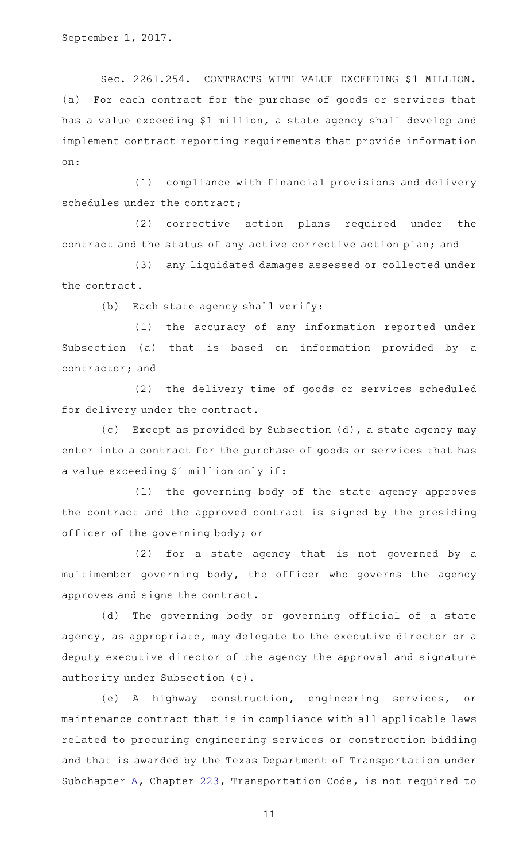September 1, 2017.

Sec. 2261.254. CONTRACTS WITH VALUE EXCEEDING \$1 MILLION. (a) For each contract for the purchase of goods or services that has a value exceeding \$1 million, a state agency shall develop and implement contract reporting requirements that provide information on:

(1) compliance with financial provisions and delivery schedules under the contract;

(2) corrective action plans required under the contract and the status of any active corrective action plan; and

(3) any liquidated damages assessed or collected under the contract.

(b) Each state agency shall verify:

(1) the accuracy of any information reported under Subsection (a) that is based on information provided by a contractor; and

(2) the delivery time of goods or services scheduled for delivery under the contract.

(c) Except as provided by Subsection  $(d)$ , a state agency may enter into a contract for the purchase of goods or services that has a value exceeding \$1 million only if:

(1) the governing body of the state agency approves the contract and the approved contract is signed by the presiding officer of the governing body; or

(2) for a state agency that is not governed by a multimember governing body, the officer who governs the agency approves and signs the contract.

(d) The governing body or governing official of a state agency, as appropriate, may delegate to the executive director or a deputy executive director of the agency the approval and signature authority under Subsection (c).

(e)AAA highway construction, engineering services, or maintenance contract that is in compliance with all applicable laws related to procuring engineering services or construction bidding and that is awarded by the Texas Department of Transportation under Subchapter [A](http://www.statutes.legis.state.tx.us/GetStatute.aspx?Code=TN&Value=223.001), Chapter [223,](http://www.statutes.legis.state.tx.us/GetStatute.aspx?Code=TN&Value=223) Transportation Code, is not required to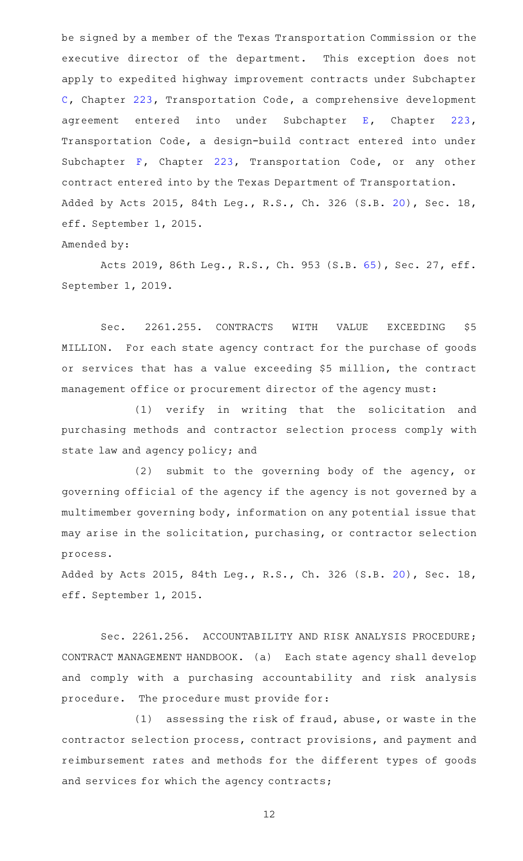be signed by a member of the Texas Transportation Commission or the executive director of the department. This exception does not apply to expedited highway improvement contracts under Subchapter [C,](http://www.statutes.legis.state.tx.us/GetStatute.aspx?Code=TN&Value=223.101) Chapter [223,](http://www.statutes.legis.state.tx.us/GetStatute.aspx?Code=TN&Value=223) Transportation Code, a comprehensive development agreement entered into under Subchapter [E](http://www.statutes.legis.state.tx.us/GetStatute.aspx?Code=TN&Value=223.201), Chapter [223](http://www.statutes.legis.state.tx.us/GetStatute.aspx?Code=TN&Value=223), Transportation Code, a design-build contract entered into under Subchapter [F,](http://www.statutes.legis.state.tx.us/GetStatute.aspx?Code=TN&Value=223.241) Chapter [223](http://www.statutes.legis.state.tx.us/GetStatute.aspx?Code=TN&Value=223), Transportation Code, or any other contract entered into by the Texas Department of Transportation. Added by Acts 2015, 84th Leg., R.S., Ch. 326 (S.B. [20](http://www.legis.state.tx.us/tlodocs/84R/billtext/html/SB00020F.HTM)), Sec. 18, eff. September 1, 2015.

## Amended by:

Acts 2019, 86th Leg., R.S., Ch. 953 (S.B. [65\)](http://www.legis.state.tx.us/tlodocs/86R/billtext/html/SB00065F.HTM), Sec. 27, eff. September 1, 2019.

Sec. 2261.255. CONTRACTS WITH VALUE EXCEEDING \$5 MILLION. For each state agency contract for the purchase of goods or services that has a value exceeding \$5 million, the contract management office or procurement director of the agency must:

(1) verify in writing that the solicitation and purchasing methods and contractor selection process comply with state law and agency policy; and

 $(2)$  submit to the governing body of the agency, or governing official of the agency if the agency is not governed by a multimember governing body, information on any potential issue that may arise in the solicitation, purchasing, or contractor selection process.

Added by Acts 2015, 84th Leg., R.S., Ch. 326 (S.B. [20](http://www.legis.state.tx.us/tlodocs/84R/billtext/html/SB00020F.HTM)), Sec. 18, eff. September 1, 2015.

Sec. 2261.256. ACCOUNTABILITY AND RISK ANALYSIS PROCEDURE; CONTRACT MANAGEMENT HANDBOOK. (a) Each state agency shall develop and comply with a purchasing accountability and risk analysis procedure. The procedure must provide for:

 $(1)$  assessing the risk of fraud, abuse, or waste in the contractor selection process, contract provisions, and payment and reimbursement rates and methods for the different types of goods and services for which the agency contracts;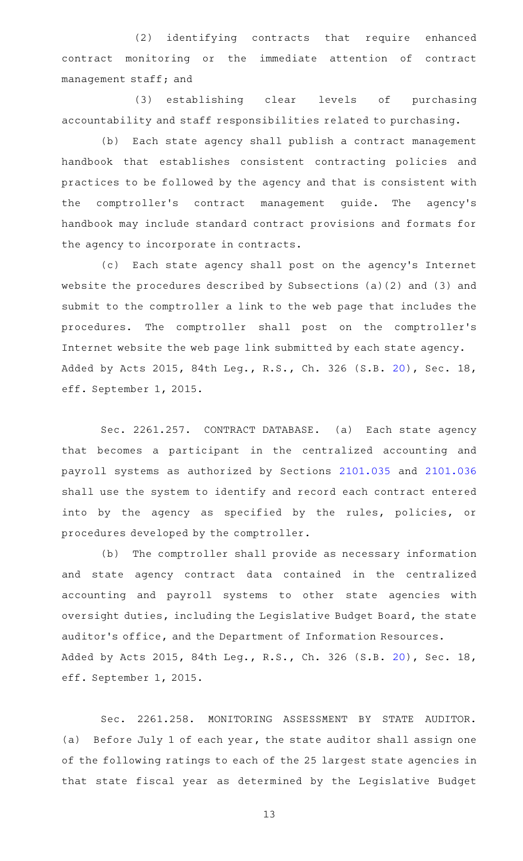(2) identifying contracts that require enhanced contract monitoring or the immediate attention of contract management staff; and

(3) establishing clear levels of purchasing accountability and staff responsibilities related to purchasing.

(b) Each state agency shall publish a contract management handbook that establishes consistent contracting policies and practices to be followed by the agency and that is consistent with the comptroller's contract management guide. The agency's handbook may include standard contract provisions and formats for the agency to incorporate in contracts.

(c) Each state agency shall post on the agency's Internet website the procedures described by Subsections (a)(2) and (3) and submit to the comptroller a link to the web page that includes the procedures. The comptroller shall post on the comptroller's Internet website the web page link submitted by each state agency. Added by Acts 2015, 84th Leg., R.S., Ch. 326 (S.B. [20](http://www.legis.state.tx.us/tlodocs/84R/billtext/html/SB00020F.HTM)), Sec. 18, eff. September 1, 2015.

Sec. 2261.257. CONTRACT DATABASE. (a) Each state agency that becomes a participant in the centralized accounting and payroll systems as authorized by Sections [2101.035](http://www.statutes.legis.state.tx.us/GetStatute.aspx?Code=GV&Value=2101.035) and [2101.036](http://www.statutes.legis.state.tx.us/GetStatute.aspx?Code=GV&Value=2101.036) shall use the system to identify and record each contract entered into by the agency as specified by the rules, policies, or procedures developed by the comptroller.

(b) The comptroller shall provide as necessary information and state agency contract data contained in the centralized accounting and payroll systems to other state agencies with oversight duties, including the Legislative Budget Board, the state auditor 's office, and the Department of Information Resources. Added by Acts 2015, 84th Leg., R.S., Ch. 326 (S.B. [20](http://www.legis.state.tx.us/tlodocs/84R/billtext/html/SB00020F.HTM)), Sec. 18, eff. September 1, 2015.

Sec. 2261.258. MONITORING ASSESSMENT BY STATE AUDITOR. (a) Before July 1 of each year, the state auditor shall assign one of the following ratings to each of the 25 largest state agencies in that state fiscal year as determined by the Legislative Budget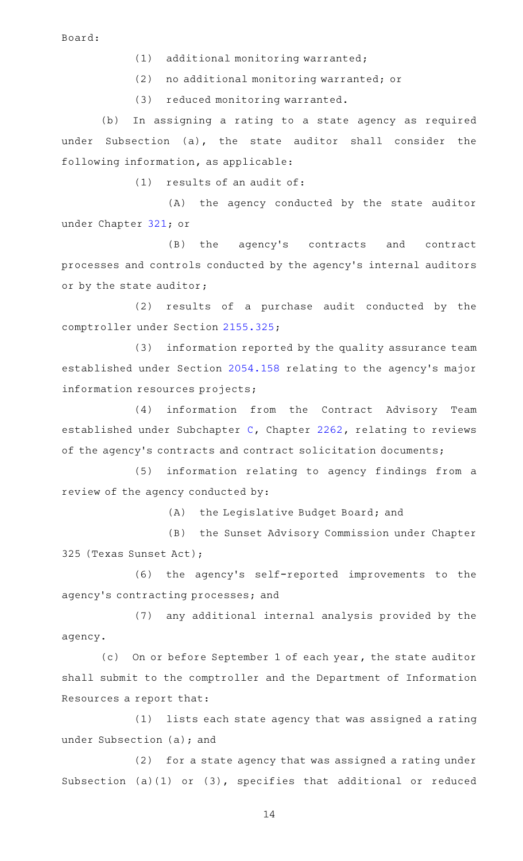Board:

 $(1)$  additional monitoring warranted;

(2) no additional monitoring warranted; or

(3) reduced monitoring warranted.

(b) In assigning a rating to a state agency as required under Subsection (a), the state auditor shall consider the following information, as applicable:

 $(1)$  results of an audit of:

 $(A)$  the agency conducted by the state auditor under Chapter [321](http://www.statutes.legis.state.tx.us/GetStatute.aspx?Code=GV&Value=321); or

(B) the agency's contracts and contract processes and controls conducted by the agency 's internal auditors or by the state auditor;

(2) results of a purchase audit conducted by the comptroller under Section [2155.325](http://www.statutes.legis.state.tx.us/GetStatute.aspx?Code=GV&Value=2155.325);

(3) information reported by the quality assurance team established under Section [2054.158](http://www.statutes.legis.state.tx.us/GetStatute.aspx?Code=GV&Value=2054.158) relating to the agency 's major information resources projects;

(4) information from the Contract Advisory Team established under Subchapter [C,](http://www.statutes.legis.state.tx.us/GetStatute.aspx?Code=GV&Value=2262.101) Chapter [2262](http://www.statutes.legis.state.tx.us/GetStatute.aspx?Code=GV&Value=2262), relating to reviews of the agency's contracts and contract solicitation documents;

(5) information relating to agency findings from a review of the agency conducted by:

(A) the Legislative Budget Board; and

(B) the Sunset Advisory Commission under Chapter 325 (Texas Sunset Act);

(6) the agency's self-reported improvements to the agency 's contracting processes; and

(7) any additional internal analysis provided by the agency.

(c) On or before September 1 of each year, the state auditor shall submit to the comptroller and the Department of Information Resources a report that:

(1) lists each state agency that was assigned a rating under Subsection (a); and

(2) for a state agency that was assigned a rating under Subsection (a)(1) or (3), specifies that additional or reduced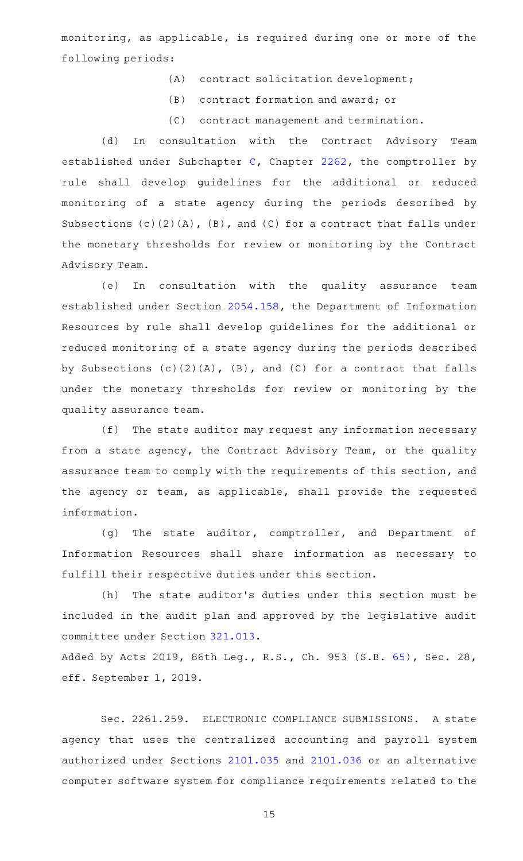monitoring, as applicable, is required during one or more of the following periods:

- (A) contract solicitation development;
- (B) contract formation and award; or
- (C) contract management and termination.

(d) In consultation with the Contract Advisory Team established under Subchapter [C,](http://www.statutes.legis.state.tx.us/GetStatute.aspx?Code=GV&Value=2262.101) Chapter [2262,](http://www.statutes.legis.state.tx.us/GetStatute.aspx?Code=GV&Value=2262) the comptroller by rule shall develop guidelines for the additional or reduced monitoring of a state agency during the periods described by Subsections  $(c)$   $(2)$   $(A)$ ,  $(B)$ , and  $(C)$  for a contract that falls under the monetary thresholds for review or monitoring by the Contract Advisory Team.

(e) In consultation with the quality assurance team established under Section [2054.158,](http://www.statutes.legis.state.tx.us/GetStatute.aspx?Code=GV&Value=2054.158) the Department of Information Resources by rule shall develop guidelines for the additional or reduced monitoring of a state agency during the periods described by Subsections (c)(2)(A), (B), and (C) for a contract that falls under the monetary thresholds for review or monitoring by the quality assurance team.

 $(f)$  The state auditor may request any information necessary from a state agency, the Contract Advisory Team, or the quality assurance team to comply with the requirements of this section, and the agency or team, as applicable, shall provide the requested information.

(g) The state auditor, comptroller, and Department of Information Resources shall share information as necessary to fulfill their respective duties under this section.

(h) The state auditor's duties under this section must be included in the audit plan and approved by the legislative audit committee under Section [321.013](http://www.statutes.legis.state.tx.us/GetStatute.aspx?Code=GV&Value=321.013).

Added by Acts 2019, 86th Leg., R.S., Ch. 953 (S.B. [65](http://www.legis.state.tx.us/tlodocs/86R/billtext/html/SB00065F.HTM)), Sec. 28, eff. September 1, 2019.

Sec. 2261.259. ELECTRONIC COMPLIANCE SUBMISSIONS. A state agency that uses the centralized accounting and payroll system authorized under Sections [2101.035](http://www.statutes.legis.state.tx.us/GetStatute.aspx?Code=GV&Value=2101.035) and [2101.036](http://www.statutes.legis.state.tx.us/GetStatute.aspx?Code=GV&Value=2101.036) or an alternative computer software system for compliance requirements related to the